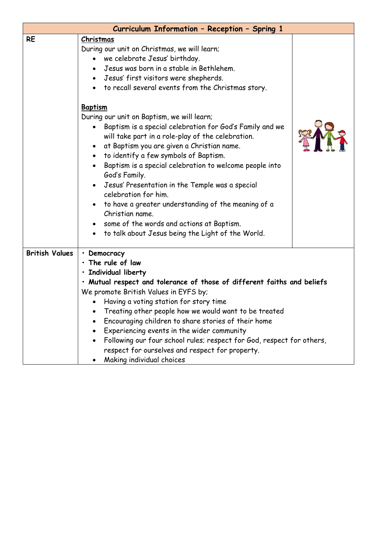| Curriculum Information - Reception - Spring 1 |                                                                                                                                                                                                                                                                                                                                                                                                                                                                                                                                                                                                                                                                                                                                                                                                                                                               |  |  |  |  |
|-----------------------------------------------|---------------------------------------------------------------------------------------------------------------------------------------------------------------------------------------------------------------------------------------------------------------------------------------------------------------------------------------------------------------------------------------------------------------------------------------------------------------------------------------------------------------------------------------------------------------------------------------------------------------------------------------------------------------------------------------------------------------------------------------------------------------------------------------------------------------------------------------------------------------|--|--|--|--|
| <b>RE</b>                                     | Christmas<br>During our unit on Christmas, we will learn;<br>we celebrate Jesus' birthday.<br>Jesus was born in a stable in Bethlehem.<br>Jesus' first visitors were shepherds.<br>$\bullet$<br>to recall several events from the Christmas story.<br><b>Baptism</b><br>During our unit on Baptism, we will learn;<br>Baptism is a special celebration for God's Family and we<br>will take part in a role-play of the celebration.<br>at Baptism you are given a Christian name.<br>to identify a few symbols of Baptism.<br>Baptism is a special celebration to welcome people into<br>God's Family.<br>Jesus' Presentation in the Temple was a special<br>celebration for him.<br>to have a greater understanding of the meaning of a<br>Christian name.<br>some of the words and actions at Baptism.<br>to talk about Jesus being the Light of the World. |  |  |  |  |
| <b>British Values</b>                         | • Democracy<br>· The rule of law<br>· Individual liberty<br>· Mutual respect and tolerance of those of different faiths and beliefs<br>We promote British Values in EYFS by;<br>Having a voting station for story time<br>Treating other people how we would want to be treated<br>Encouraging children to share stories of their home<br>Experiencing events in the wider community<br>Following our four school rules; respect for God, respect for others,<br>respect for ourselves and respect for property.<br>Making individual choices                                                                                                                                                                                                                                                                                                                 |  |  |  |  |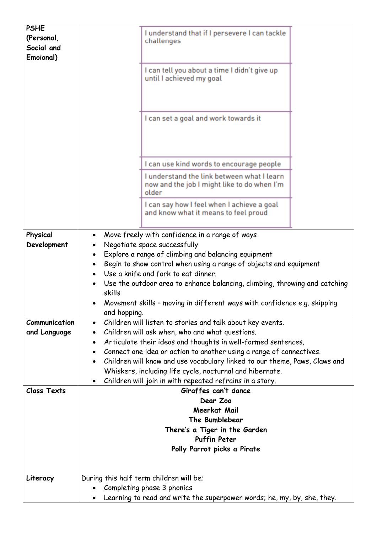| <b>PSHE</b><br>(Personal,<br>Social and<br>Emoional) |                                                                                                                                                                                                                                                                                                                                                                                                                                                                              | I understand that if I persevere I can tackle<br>challenges                                                      |  |  |
|------------------------------------------------------|------------------------------------------------------------------------------------------------------------------------------------------------------------------------------------------------------------------------------------------------------------------------------------------------------------------------------------------------------------------------------------------------------------------------------------------------------------------------------|------------------------------------------------------------------------------------------------------------------|--|--|
|                                                      |                                                                                                                                                                                                                                                                                                                                                                                                                                                                              | I can tell you about a time I didn't give up<br>until I achieved my goal                                         |  |  |
|                                                      |                                                                                                                                                                                                                                                                                                                                                                                                                                                                              | I can set a goal and work towards it                                                                             |  |  |
|                                                      |                                                                                                                                                                                                                                                                                                                                                                                                                                                                              | I can use kind words to encourage people                                                                         |  |  |
|                                                      |                                                                                                                                                                                                                                                                                                                                                                                                                                                                              | I understand the link between what I learn<br>now and the job I might like to do when I'm<br>older               |  |  |
|                                                      |                                                                                                                                                                                                                                                                                                                                                                                                                                                                              | I can say how I feel when I achieve a goal<br>and know what it means to feel proud                               |  |  |
| Physical<br>Development                              | Move freely with confidence in a range of ways<br>$\bullet$<br>Negotiate space successfully<br>$\bullet$<br>Explore a range of climbing and balancing equipment<br>Begin to show control when using a range of objects and equipment<br>$\bullet$<br>Use a knife and fork to eat dinner.<br>Use the outdoor area to enhance balancing, climbing, throwing and catching<br>skills<br>Movement skills - moving in different ways with confidence e.g. skipping<br>and hopping. |                                                                                                                  |  |  |
| Communication                                        | Children will listen to stories and talk about key events.<br>$\bullet$                                                                                                                                                                                                                                                                                                                                                                                                      |                                                                                                                  |  |  |
| and Language                                         | ٠<br>٠                                                                                                                                                                                                                                                                                                                                                                                                                                                                       | Children will ask when, who and what questions.<br>Articulate their ideas and thoughts in well-formed sentences. |  |  |
|                                                      | $\bullet$                                                                                                                                                                                                                                                                                                                                                                                                                                                                    | Connect one idea or action to another using a range of connectives.                                              |  |  |
|                                                      | $\bullet$                                                                                                                                                                                                                                                                                                                                                                                                                                                                    | Children will know and use vocabulary linked to our theme, Paws, Claws and                                       |  |  |
|                                                      |                                                                                                                                                                                                                                                                                                                                                                                                                                                                              | Whiskers, including life cycle, nocturnal and hibernate.                                                         |  |  |
| <b>Class Texts</b>                                   |                                                                                                                                                                                                                                                                                                                                                                                                                                                                              | Children will join in with repeated refrains in a story.<br>Giraffes can't dance                                 |  |  |
|                                                      |                                                                                                                                                                                                                                                                                                                                                                                                                                                                              | Dear Zoo                                                                                                         |  |  |
|                                                      | Meerkat Mail                                                                                                                                                                                                                                                                                                                                                                                                                                                                 |                                                                                                                  |  |  |
|                                                      | The Bumblebear                                                                                                                                                                                                                                                                                                                                                                                                                                                               |                                                                                                                  |  |  |
|                                                      | There's a Tiger in the Garden<br><b>Puffin Peter</b>                                                                                                                                                                                                                                                                                                                                                                                                                         |                                                                                                                  |  |  |
|                                                      |                                                                                                                                                                                                                                                                                                                                                                                                                                                                              | Polly Parrot picks a Pirate                                                                                      |  |  |
| Literacy                                             | During this half term children will be;<br>$\bullet$                                                                                                                                                                                                                                                                                                                                                                                                                         | Completing phase 3 phonics                                                                                       |  |  |
|                                                      |                                                                                                                                                                                                                                                                                                                                                                                                                                                                              | Learning to read and write the superpower words; he, my, by, she, they.                                          |  |  |